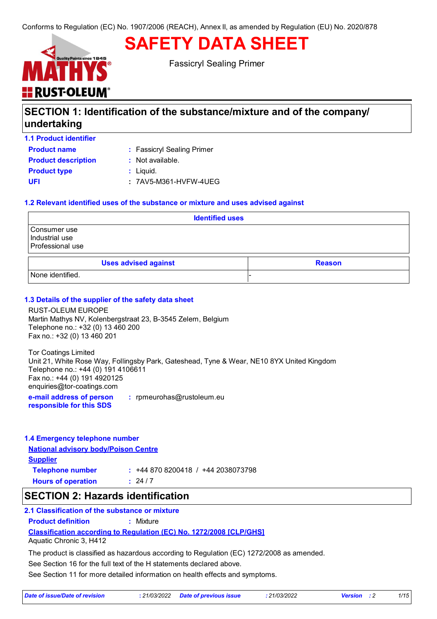# **SAFETY DATA SHEET**



Fassicryl Sealing Primer

### **SECTION 1: Identification of the substance/mixture and of the company/ undertaking**

**1.1 Product identifier**

**Product name** The Seassicryl Sealing Primer

| <b>Product description</b> |  |
|----------------------------|--|
| <b>Product type</b>        |  |
| UFI                        |  |

**Product in Available.** 

**:** Liquid.

**UFI :** 7AV5-M361-HVFW-4UEG

### **1.2 Relevant identified uses of the substance or mixture and uses advised against**

| <b>Identified uses</b>                             |               |  |  |
|----------------------------------------------------|---------------|--|--|
| Consumer use<br>Industrial use<br>Professional use |               |  |  |
| <b>Uses advised against</b>                        | <b>Reason</b> |  |  |
| None identified.                                   |               |  |  |

### **1.3 Details of the supplier of the safety data sheet**

RUST-OLEUM EUROPE Martin Mathys NV, Kolenbergstraat 23, B-3545 Zelem, Belgium Telephone no.: +32 (0) 13 460 200 Fax no.: +32 (0) 13 460 201

Tor Coatings Limited Unit 21, White Rose Way, Follingsby Park, Gateshead, Tyne & Wear, NE10 8YX United Kingdom Telephone no.: +44 (0) 191 4106611 Fax no.: +44 (0) 191 4920125 enquiries@tor-coatings.com

**e-mail address of person responsible for this SDS :** rpmeurohas@rustoleum.eu

### **1.4 Emergency telephone number**

**National advisory body/Poison Centre**

**Supplier Hours of operation : Telephone number :** +44 870 8200418 / +44 2038073798  $: 24/7$ 

### **SECTION 2: Hazards identification**

### **2.1 Classification of the substance or mixture**

**Product definition :** Mixture

**Classification according to Regulation (EC) No. 1272/2008 [CLP/GHS]**

Aquatic Chronic 3, H412

The product is classified as hazardous according to Regulation (EC) 1272/2008 as amended.

See Section 16 for the full text of the H statements declared above.

See Section 11 for more detailed information on health effects and symptoms.

| Date of issue/Date of revision | : 21/03/2022 Date of previous issue | 21/03/2022 | <b>Version</b> : 2 |  |
|--------------------------------|-------------------------------------|------------|--------------------|--|
|                                |                                     |            |                    |  |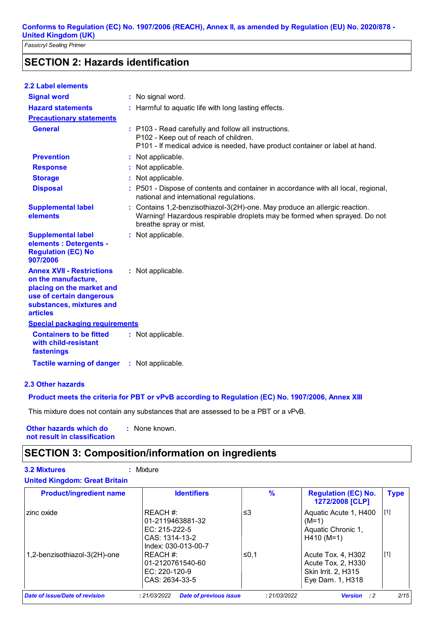*Fassicryl Sealing Primer*

### **SECTION 2: Hazards identification**

| <b>2.2 Label elements</b>                                                                                                                                       |                                                                                                                                                                                   |
|-----------------------------------------------------------------------------------------------------------------------------------------------------------------|-----------------------------------------------------------------------------------------------------------------------------------------------------------------------------------|
| <b>Signal word</b>                                                                                                                                              | : No signal word.                                                                                                                                                                 |
| <b>Hazard statements</b>                                                                                                                                        | : Harmful to aquatic life with long lasting effects.                                                                                                                              |
| <b>Precautionary statements</b>                                                                                                                                 |                                                                                                                                                                                   |
| <b>General</b>                                                                                                                                                  | : P103 - Read carefully and follow all instructions.<br>P102 - Keep out of reach of children.<br>P101 - If medical advice is needed, have product container or label at hand.     |
| <b>Prevention</b>                                                                                                                                               | : Not applicable.                                                                                                                                                                 |
| <b>Response</b>                                                                                                                                                 | : Not applicable.                                                                                                                                                                 |
| <b>Storage</b>                                                                                                                                                  | : Not applicable.                                                                                                                                                                 |
| <b>Disposal</b>                                                                                                                                                 | : P501 - Dispose of contents and container in accordance with all local, regional,<br>national and international regulations.                                                     |
| <b>Supplemental label</b><br>elements                                                                                                                           | : Contains 1,2-benzisothiazol-3(2H)-one. May produce an allergic reaction.<br>Warning! Hazardous respirable droplets may be formed when sprayed. Do not<br>breathe spray or mist. |
| <b>Supplemental label</b><br>elements : Detergents -<br><b>Regulation (EC) No</b><br>907/2006                                                                   | : Not applicable.                                                                                                                                                                 |
| <b>Annex XVII - Restrictions</b><br>on the manufacture,<br>placing on the market and<br>use of certain dangerous<br>substances, mixtures and<br><b>articles</b> | : Not applicable.                                                                                                                                                                 |
| <b>Special packaging requirements</b>                                                                                                                           |                                                                                                                                                                                   |
| <b>Containers to be fitted</b><br>with child-resistant<br>fastenings                                                                                            | : Not applicable.                                                                                                                                                                 |
| <b>Tactile warning of danger</b>                                                                                                                                | : Not applicable.                                                                                                                                                                 |
|                                                                                                                                                                 |                                                                                                                                                                                   |

**2.3 Other hazards**

**Product meets the criteria for PBT or vPvB according to Regulation (EC) No. 1907/2006, Annex XIII**

This mixture does not contain any substances that are assessed to be a PBT or a vPvB.

**Other hazards which do : not result in classification** : None known.

### **SECTION 3: Composition/information on ingredients**

### **3.2 Mixtures :** Mixture **United Kingdom: Great Britain**

| <b>Product/ingredient name</b> | <b>Identifiers</b>                                                                       | $\frac{9}{6}$ | <b>Regulation (EC) No.</b><br>1272/2008 [CLP]                                       | <b>Type</b> |
|--------------------------------|------------------------------------------------------------------------------------------|---------------|-------------------------------------------------------------------------------------|-------------|
| zinc oxide                     | REACH #:<br>01-2119463881-32<br>EC: $215-222-5$<br>CAS: 1314-13-2<br>Index: 030-013-00-7 | ≤3            | Aquatic Acute 1, H400<br>$(M=1)$<br>Aquatic Chronic 1,<br>$H410$ (M=1)              | $[1]$       |
| 1,2-benzisothiazol-3(2H)-one   | REACH #:<br>01-2120761540-60<br>EC: $220-120-9$<br>CAS: 2634-33-5                        | ≤0.1          | Acute Tox. 4, H302<br>Acute Tox. 2, H330<br>Skin Irrit. 2, H315<br>Eye Dam. 1, H318 | $[1]$       |
| Date of issue/Date of revision | <b>Date of previous issue</b><br>: 21/03/2022                                            | : 21/03/2022  | <b>Version</b> : 2                                                                  | 2/15        |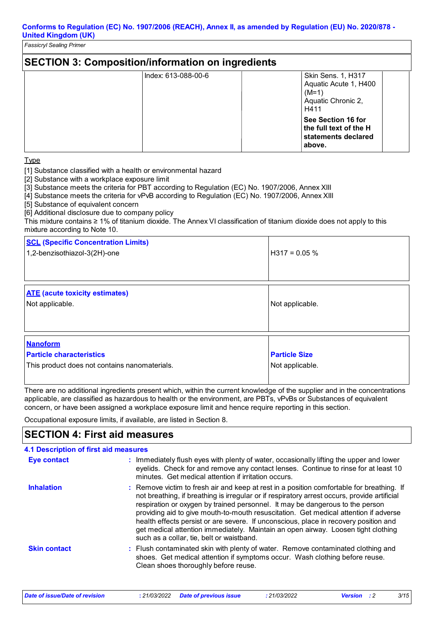*Fassicryl Sealing Primer*

| <b>SECTION 3: Composition/information on ingredients</b> |                                                                                             |  |  |  |
|----------------------------------------------------------|---------------------------------------------------------------------------------------------|--|--|--|
| Index: 613-088-00-6                                      | <b>Skin Sens. 1, H317</b><br>Aquatic Acute 1, H400<br>$(M=1)$<br>Aquatic Chronic 2,<br>H411 |  |  |  |
|                                                          | See Section 16 for<br>the full text of the H<br>statements declared<br>above.               |  |  |  |

Type

[1] Substance classified with a health or environmental hazard

[2] Substance with a workplace exposure limit

[3] Substance meets the criteria for PBT according to Regulation (EC) No. 1907/2006, Annex XIII

[4] Substance meets the criteria for vPvB according to Regulation (EC) No. 1907/2006, Annex XIII

[5] Substance of equivalent concern

[6] Additional disclosure due to company policy

This mixture contains ≥ 1% of titanium dioxide. The Annex VI classification of titanium dioxide does not apply to this mixture according to Note 10.

| <b>SCL (Specific Concentration Limits)</b><br>1,2-benzisothiazol-3(2H)-one                          | $H317 = 0.05 \%$                        |
|-----------------------------------------------------------------------------------------------------|-----------------------------------------|
| <b>ATE</b> (acute toxicity estimates)<br>Not applicable.                                            | Not applicable.                         |
| <b>Nanoform</b><br><b>Particle characteristics</b><br>This product does not contains nanomaterials. | <b>Particle Size</b><br>Not applicable. |

There are no additional ingredients present which, within the current knowledge of the supplier and in the concentrations applicable, are classified as hazardous to health or the environment, are PBTs, vPvBs or Substances of equivalent concern, or have been assigned a workplace exposure limit and hence require reporting in this section.

Occupational exposure limits, if available, are listed in Section 8.

### **SECTION 4: First aid measures**

| <b>4.1 Description of first aid measures</b> |                                                                                                                                                                                                                                                                                                                                                                                                                                                                                                                                                                                              |
|----------------------------------------------|----------------------------------------------------------------------------------------------------------------------------------------------------------------------------------------------------------------------------------------------------------------------------------------------------------------------------------------------------------------------------------------------------------------------------------------------------------------------------------------------------------------------------------------------------------------------------------------------|
| Eye contact                                  | : Immediately flush eyes with plenty of water, occasionally lifting the upper and lower<br>eyelids. Check for and remove any contact lenses. Continue to rinse for at least 10<br>minutes. Get medical attention if irritation occurs.                                                                                                                                                                                                                                                                                                                                                       |
| <b>Inhalation</b>                            | : Remove victim to fresh air and keep at rest in a position comfortable for breathing. If<br>not breathing, if breathing is irregular or if respiratory arrest occurs, provide artificial<br>respiration or oxygen by trained personnel. It may be dangerous to the person<br>providing aid to give mouth-to-mouth resuscitation. Get medical attention if adverse<br>health effects persist or are severe. If unconscious, place in recovery position and<br>get medical attention immediately. Maintain an open airway. Loosen tight clothing<br>such as a collar, tie, belt or waistband. |
| <b>Skin contact</b>                          | : Flush contaminated skin with plenty of water. Remove contaminated clothing and<br>shoes. Get medical attention if symptoms occur. Wash clothing before reuse.<br>Clean shoes thoroughly before reuse.                                                                                                                                                                                                                                                                                                                                                                                      |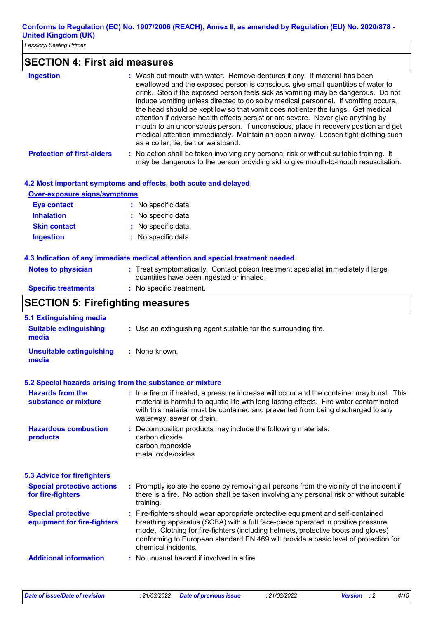*Fassicryl Sealing Primer*

### **SECTION 4: First aid measures**

| <b>Ingestion</b>                                         | : Wash out mouth with water. Remove dentures if any. If material has been<br>swallowed and the exposed person is conscious, give small quantities of water to<br>drink. Stop if the exposed person feels sick as vomiting may be dangerous. Do not<br>induce vomiting unless directed to do so by medical personnel. If vomiting occurs,<br>the head should be kept low so that vomit does not enter the lungs. Get medical<br>attention if adverse health effects persist or are severe. Never give anything by<br>mouth to an unconscious person. If unconscious, place in recovery position and get<br>medical attention immediately. Maintain an open airway. Loosen tight clothing such<br>as a collar, tie, belt or waistband. |
|----------------------------------------------------------|--------------------------------------------------------------------------------------------------------------------------------------------------------------------------------------------------------------------------------------------------------------------------------------------------------------------------------------------------------------------------------------------------------------------------------------------------------------------------------------------------------------------------------------------------------------------------------------------------------------------------------------------------------------------------------------------------------------------------------------|
| <b>Protection of first-aiders</b>                        | : No action shall be taken involving any personal risk or without suitable training. It<br>may be dangerous to the person providing aid to give mouth-to-mouth resuscitation.                                                                                                                                                                                                                                                                                                                                                                                                                                                                                                                                                        |
|                                                          | 4.2 Most important symptoms and effects, both acute and delayed                                                                                                                                                                                                                                                                                                                                                                                                                                                                                                                                                                                                                                                                      |
| <b>Over-exposure signs/symptoms</b>                      |                                                                                                                                                                                                                                                                                                                                                                                                                                                                                                                                                                                                                                                                                                                                      |
| <b>Eye contact</b>                                       | : No specific data.                                                                                                                                                                                                                                                                                                                                                                                                                                                                                                                                                                                                                                                                                                                  |
| <b>Inhalation</b>                                        | : No specific data.                                                                                                                                                                                                                                                                                                                                                                                                                                                                                                                                                                                                                                                                                                                  |
| <b>Skin contact</b>                                      | : No specific data.                                                                                                                                                                                                                                                                                                                                                                                                                                                                                                                                                                                                                                                                                                                  |
| <b>Ingestion</b>                                         | : No specific data.                                                                                                                                                                                                                                                                                                                                                                                                                                                                                                                                                                                                                                                                                                                  |
|                                                          | 4.3 Indication of any immediate medical attention and special treatment needed                                                                                                                                                                                                                                                                                                                                                                                                                                                                                                                                                                                                                                                       |
| <b>Notes to physician</b>                                | : Treat symptomatically. Contact poison treatment specialist immediately if large<br>quantities have been ingested or inhaled.                                                                                                                                                                                                                                                                                                                                                                                                                                                                                                                                                                                                       |
| <b>Specific treatments</b>                               | : No specific treatment.                                                                                                                                                                                                                                                                                                                                                                                                                                                                                                                                                                                                                                                                                                             |
| <b>SECTION 5: Firefighting measures</b>                  |                                                                                                                                                                                                                                                                                                                                                                                                                                                                                                                                                                                                                                                                                                                                      |
| 5.1 Extinguishing media                                  |                                                                                                                                                                                                                                                                                                                                                                                                                                                                                                                                                                                                                                                                                                                                      |
| <b>Suitable extinguishing</b><br>media                   | : Use an extinguishing agent suitable for the surrounding fire.                                                                                                                                                                                                                                                                                                                                                                                                                                                                                                                                                                                                                                                                      |
| <b>Unsuitable extinguishing</b><br>media                 | : None known.                                                                                                                                                                                                                                                                                                                                                                                                                                                                                                                                                                                                                                                                                                                        |
|                                                          | 5.2 Special hazards arising from the substance or mixture                                                                                                                                                                                                                                                                                                                                                                                                                                                                                                                                                                                                                                                                            |
| <b>Hazards from the</b><br>substance or mixture          | : In a fire or if heated, a pressure increase will occur and the container may burst. This<br>material is harmful to aquatic life with long lasting effects. Fire water contaminated<br>with this material must be contained and prevented from being discharged to any<br>waterway, sewer or drain.                                                                                                                                                                                                                                                                                                                                                                                                                                 |
| <b>Hazardous combustion</b><br>products                  | Decomposition products may include the following materials:<br>carbon dioxide<br>carbon monoxide<br>metal oxide/oxides                                                                                                                                                                                                                                                                                                                                                                                                                                                                                                                                                                                                               |
| <b>5.3 Advice for firefighters</b>                       |                                                                                                                                                                                                                                                                                                                                                                                                                                                                                                                                                                                                                                                                                                                                      |
| <b>Special protective actions</b><br>for fire-fighters   | : Promptly isolate the scene by removing all persons from the vicinity of the incident if<br>there is a fire. No action shall be taken involving any personal risk or without suitable<br>training.                                                                                                                                                                                                                                                                                                                                                                                                                                                                                                                                  |
| <b>Special protective</b><br>equipment for fire-fighters | Fire-fighters should wear appropriate protective equipment and self-contained<br>÷.<br>breathing apparatus (SCBA) with a full face-piece operated in positive pressure<br>mode. Clothing for fire-fighters (including helmets, protective boots and gloves)<br>conforming to European standard EN 469 will provide a basic level of protection for<br>chemical incidents.                                                                                                                                                                                                                                                                                                                                                            |
| <b>Additional information</b>                            | No unusual hazard if involved in a fire.                                                                                                                                                                                                                                                                                                                                                                                                                                                                                                                                                                                                                                                                                             |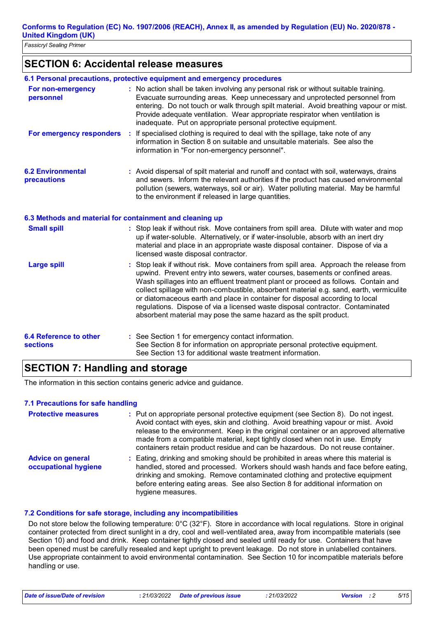### **SECTION 6: Accidental release measures**

|                                                          | 6.1 Personal precautions, protective equipment and emergency procedures                                                                                                                                                                                                                                                                                                                                                                                                                                                                                                                         |
|----------------------------------------------------------|-------------------------------------------------------------------------------------------------------------------------------------------------------------------------------------------------------------------------------------------------------------------------------------------------------------------------------------------------------------------------------------------------------------------------------------------------------------------------------------------------------------------------------------------------------------------------------------------------|
| For non-emergency<br>personnel                           | : No action shall be taken involving any personal risk or without suitable training.<br>Evacuate surrounding areas. Keep unnecessary and unprotected personnel from<br>entering. Do not touch or walk through spilt material. Avoid breathing vapour or mist.<br>Provide adequate ventilation. Wear appropriate respirator when ventilation is<br>inadequate. Put on appropriate personal protective equipment.                                                                                                                                                                                 |
| For emergency responders                                 | If specialised clothing is required to deal with the spillage, take note of any<br><b>A</b><br>information in Section 8 on suitable and unsuitable materials. See also the<br>information in "For non-emergency personnel".                                                                                                                                                                                                                                                                                                                                                                     |
| <b>6.2 Environmental</b><br>precautions                  | : Avoid dispersal of spilt material and runoff and contact with soil, waterways, drains<br>and sewers. Inform the relevant authorities if the product has caused environmental<br>pollution (sewers, waterways, soil or air). Water polluting material. May be harmful<br>to the environment if released in large quantities.                                                                                                                                                                                                                                                                   |
| 6.3 Methods and material for containment and cleaning up |                                                                                                                                                                                                                                                                                                                                                                                                                                                                                                                                                                                                 |
| <b>Small spill</b>                                       | : Stop leak if without risk. Move containers from spill area. Dilute with water and mop<br>up if water-soluble. Alternatively, or if water-insoluble, absorb with an inert dry<br>material and place in an appropriate waste disposal container. Dispose of via a<br>licensed waste disposal contractor.                                                                                                                                                                                                                                                                                        |
| <b>Large spill</b>                                       | Stop leak if without risk. Move containers from spill area. Approach the release from<br>upwind. Prevent entry into sewers, water courses, basements or confined areas.<br>Wash spillages into an effluent treatment plant or proceed as follows. Contain and<br>collect spillage with non-combustible, absorbent material e.g. sand, earth, vermiculite<br>or diatomaceous earth and place in container for disposal according to local<br>regulations. Dispose of via a licensed waste disposal contractor. Contaminated<br>absorbent material may pose the same hazard as the spilt product. |
| <b>6.4 Reference to other</b><br><b>sections</b>         | : See Section 1 for emergency contact information.<br>See Section 8 for information on appropriate personal protective equipment.<br>See Section 13 for additional waste treatment information.                                                                                                                                                                                                                                                                                                                                                                                                 |

### **SECTION 7: Handling and storage**

The information in this section contains generic advice and guidance.

### **7.1 Precautions for safe handling**

| <b>Protective measures</b>                       | : Put on appropriate personal protective equipment (see Section 8). Do not ingest.<br>Avoid contact with eyes, skin and clothing. Avoid breathing vapour or mist. Avoid<br>release to the environment. Keep in the original container or an approved alternative<br>made from a compatible material, kept tightly closed when not in use. Empty<br>containers retain product residue and can be hazardous. Do not reuse container. |
|--------------------------------------------------|------------------------------------------------------------------------------------------------------------------------------------------------------------------------------------------------------------------------------------------------------------------------------------------------------------------------------------------------------------------------------------------------------------------------------------|
| <b>Advice on general</b><br>occupational hygiene | : Eating, drinking and smoking should be prohibited in areas where this material is<br>handled, stored and processed. Workers should wash hands and face before eating,<br>drinking and smoking. Remove contaminated clothing and protective equipment<br>before entering eating areas. See also Section 8 for additional information on<br>hygiene measures.                                                                      |

### **7.2 Conditions for safe storage, including any incompatibilities**

Do not store below the following temperature: 0°C (32°F). Store in accordance with local regulations. Store in original container protected from direct sunlight in a dry, cool and well-ventilated area, away from incompatible materials (see Section 10) and food and drink. Keep container tightly closed and sealed until ready for use. Containers that have been opened must be carefully resealed and kept upright to prevent leakage. Do not store in unlabelled containers. Use appropriate containment to avoid environmental contamination. See Section 10 for incompatible materials before handling or use.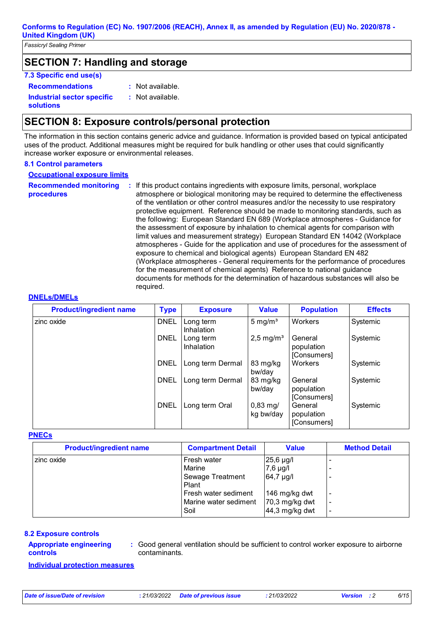*Fassicryl Sealing Primer*

### **SECTION 7: Handling and storage**

### **7.3 Specific end use(s)**

**Recommendations :**

: Not available.

**Industrial sector specific :**

**solutions**

: Not available.

### **SECTION 8: Exposure controls/personal protection**

The information in this section contains generic advice and guidance. Information is provided based on typical anticipated uses of the product. Additional measures might be required for bulk handling or other uses that could significantly increase worker exposure or environmental releases.

#### **8.1 Control parameters**

**Occupational exposure limits**

**Recommended monitoring** 

**procedures**

**:** If this product contains ingredients with exposure limits, personal, workplace atmosphere or biological monitoring may be required to determine the effectiveness of the ventilation or other control measures and/or the necessity to use respiratory protective equipment. Reference should be made to monitoring standards, such as the following: European Standard EN 689 (Workplace atmospheres - Guidance for the assessment of exposure by inhalation to chemical agents for comparison with limit values and measurement strategy) European Standard EN 14042 (Workplace atmospheres - Guide for the application and use of procedures for the assessment of exposure to chemical and biological agents) European Standard EN 482 (Workplace atmospheres - General requirements for the performance of procedures for the measurement of chemical agents) Reference to national guidance documents for methods for the determination of hazardous substances will also be required.

#### **DNELs/DMELs**

| <b>Product/ingredient name</b> | <b>Type</b> | <b>Exposure</b>                | <b>Value</b>                      | <b>Population</b>                    | <b>Effects</b> |
|--------------------------------|-------------|--------------------------------|-----------------------------------|--------------------------------------|----------------|
| zinc oxide                     | <b>DNEL</b> | Long term<br><b>Inhalation</b> | 5 mg/ $m3$                        | Workers                              | Systemic       |
|                                | <b>DNEL</b> | Long term<br>Inhalation        | $2,5$ mg/m <sup>3</sup>           | General<br>population<br>[Consumers] | Systemic       |
|                                | <b>DNEL</b> | Long term Dermal               | 83 mg/kg<br>bw/day                | Workers                              | Systemic       |
|                                | <b>DNEL</b> | Long term Dermal               | 83 mg/kg<br>bw/day                | General<br>population<br>[Consumers] | Systemic       |
|                                | <b>DNEL</b> | Long term Oral                 | $0,83 \,\mathrm{mg}$<br>kg bw/day | General<br>population<br>[Consumers] | Systemic       |

#### **PNECs**

| <b>Value</b><br><b>Compartment Detail</b><br><b>Method Detail</b>   |
|---------------------------------------------------------------------|
| Fresh water<br>25,6 µg/l                                            |
| Marine<br>$7,6$ µg/l                                                |
| 64,7 µg/l<br>Sewage Treatment                                       |
|                                                                     |
| Fresh water sediment<br>146 mg/kg dwt<br>$\overline{\phantom{a}}$   |
| Marine water sediment<br>70,3 mg/kg dwt<br>$\overline{\phantom{a}}$ |
| $44,3$ mg/kg dwt                                                    |
|                                                                     |

#### **8.2 Exposure controls**

#### **Appropriate engineering controls**

**:** Good general ventilation should be sufficient to control worker exposure to airborne contaminants.

**Individual protection measures**

*Date of issue/Date of revision* **:** *21/03/2022 Date of previous issue : 21/03/2022 Version : 2 6/15*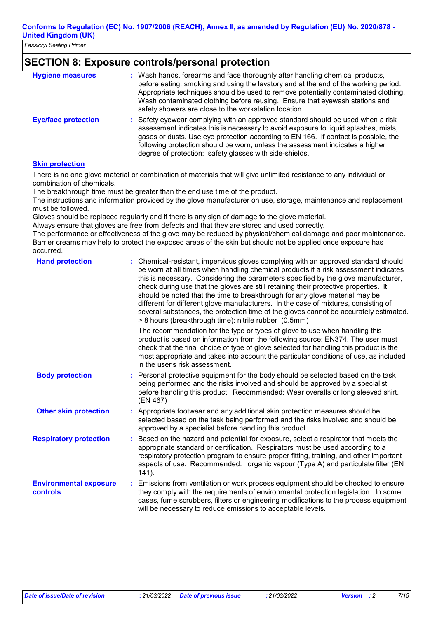### **SECTION 8: Exposure controls/personal protection**

| <b>Hygiene measures</b>    | : Wash hands, forearms and face thoroughly after handling chemical products,<br>before eating, smoking and using the lavatory and at the end of the working period.<br>Appropriate techniques should be used to remove potentially contaminated clothing.<br>Wash contaminated clothing before reusing. Ensure that eyewash stations and<br>safety showers are close to the workstation location.         |
|----------------------------|-----------------------------------------------------------------------------------------------------------------------------------------------------------------------------------------------------------------------------------------------------------------------------------------------------------------------------------------------------------------------------------------------------------|
| <b>Eye/face protection</b> | : Safety eyewear complying with an approved standard should be used when a risk<br>assessment indicates this is necessary to avoid exposure to liquid splashes, mists,<br>gases or dusts. Use eye protection according to EN 166. If contact is possible, the<br>following protection should be worn, unless the assessment indicates a higher<br>degree of protection: safety glasses with side-shields. |
| Attack and a state of      |                                                                                                                                                                                                                                                                                                                                                                                                           |

#### **Skin protection**

There is no one glove material or combination of materials that will give unlimited resistance to any individual or combination of chemicals.

The breakthrough time must be greater than the end use time of the product.

The instructions and information provided by the glove manufacturer on use, storage, maintenance and replacement must be followed.

Gloves should be replaced regularly and if there is any sign of damage to the glove material.

Always ensure that gloves are free from defects and that they are stored and used correctly.

The performance or effectiveness of the glove may be reduced by physical/chemical damage and poor maintenance. Barrier creams may help to protect the exposed areas of the skin but should not be applied once exposure has occurred.

| <b>Hand protection</b>                    | : Chemical-resistant, impervious gloves complying with an approved standard should<br>be worn at all times when handling chemical products if a risk assessment indicates<br>this is necessary. Considering the parameters specified by the glove manufacturer,<br>check during use that the gloves are still retaining their protective properties. It<br>should be noted that the time to breakthrough for any glove material may be<br>different for different glove manufacturers. In the case of mixtures, consisting of<br>several substances, the protection time of the gloves cannot be accurately estimated.<br>> 8 hours (breakthrough time): nitrile rubber (0.5mm) |  |
|-------------------------------------------|---------------------------------------------------------------------------------------------------------------------------------------------------------------------------------------------------------------------------------------------------------------------------------------------------------------------------------------------------------------------------------------------------------------------------------------------------------------------------------------------------------------------------------------------------------------------------------------------------------------------------------------------------------------------------------|--|
|                                           | The recommendation for the type or types of glove to use when handling this<br>product is based on information from the following source: EN374. The user must<br>check that the final choice of type of glove selected for handling this product is the<br>most appropriate and takes into account the particular conditions of use, as included<br>in the user's risk assessment.                                                                                                                                                                                                                                                                                             |  |
| <b>Body protection</b>                    | : Personal protective equipment for the body should be selected based on the task<br>being performed and the risks involved and should be approved by a specialist<br>before handling this product. Recommended: Wear overalls or long sleeved shirt.<br>(EN 467)                                                                                                                                                                                                                                                                                                                                                                                                               |  |
| <b>Other skin protection</b>              | : Appropriate footwear and any additional skin protection measures should be<br>selected based on the task being performed and the risks involved and should be<br>approved by a specialist before handling this product.                                                                                                                                                                                                                                                                                                                                                                                                                                                       |  |
| <b>Respiratory protection</b>             | Based on the hazard and potential for exposure, select a respirator that meets the<br>÷.<br>appropriate standard or certification. Respirators must be used according to a<br>respiratory protection program to ensure proper fitting, training, and other important<br>aspects of use. Recommended: organic vapour (Type A) and particulate filter (EN<br>$141$ ).                                                                                                                                                                                                                                                                                                             |  |
| <b>Environmental exposure</b><br>controls | Emissions from ventilation or work process equipment should be checked to ensure<br>÷.<br>they comply with the requirements of environmental protection legislation. In some<br>cases, fume scrubbers, filters or engineering modifications to the process equipment<br>will be necessary to reduce emissions to acceptable levels.                                                                                                                                                                                                                                                                                                                                             |  |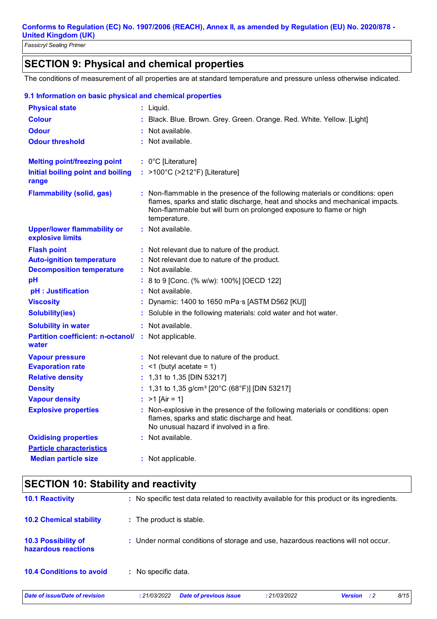## **SECTION 9: Physical and chemical properties**

The conditions of measurement of all properties are at standard temperature and pressure unless otherwise indicated.

| 9.1 Information on basic physical and chemical properties           |                                                                                                                                                                                                                                                      |
|---------------------------------------------------------------------|------------------------------------------------------------------------------------------------------------------------------------------------------------------------------------------------------------------------------------------------------|
| <b>Physical state</b>                                               | : Liquid.                                                                                                                                                                                                                                            |
| <b>Colour</b>                                                       | : Black. Blue. Brown. Grey. Green. Orange. Red. White. Yellow. [Light]                                                                                                                                                                               |
| <b>Odour</b>                                                        | : Not available.                                                                                                                                                                                                                                     |
| <b>Odour threshold</b>                                              | : Not available.                                                                                                                                                                                                                                     |
| <b>Melting point/freezing point</b>                                 | : 0°C [Literature]                                                                                                                                                                                                                                   |
| <b>Initial boiling point and boiling</b><br>range                   | : >100°C (>212°F) [Literature]                                                                                                                                                                                                                       |
| <b>Flammability (solid, gas)</b>                                    | : Non-flammable in the presence of the following materials or conditions: open<br>flames, sparks and static discharge, heat and shocks and mechanical impacts.<br>Non-flammable but will burn on prolonged exposure to flame or high<br>temperature. |
| <b>Upper/lower flammability or</b><br>explosive limits              | : Not available.                                                                                                                                                                                                                                     |
| <b>Flash point</b>                                                  | : Not relevant due to nature of the product.                                                                                                                                                                                                         |
| <b>Auto-ignition temperature</b>                                    | : Not relevant due to nature of the product.                                                                                                                                                                                                         |
| <b>Decomposition temperature</b>                                    | : Not available.                                                                                                                                                                                                                                     |
| pH                                                                  | : 8 to 9 [Conc. (% w/w): 100%] [OECD 122]                                                                                                                                                                                                            |
| pH : Justification                                                  | : Not available.                                                                                                                                                                                                                                     |
| <b>Viscosity</b>                                                    | Dynamic: 1400 to 1650 mPa s [ASTM D562 [KU]]                                                                                                                                                                                                         |
| <b>Solubility(ies)</b>                                              | : Soluble in the following materials: cold water and hot water.                                                                                                                                                                                      |
| <b>Solubility in water</b>                                          | : Not available.                                                                                                                                                                                                                                     |
| <b>Partition coefficient: n-octanol/ :</b> Not applicable.<br>water |                                                                                                                                                                                                                                                      |
| <b>Vapour pressure</b>                                              | : Not relevant due to nature of the product.                                                                                                                                                                                                         |
| <b>Evaporation rate</b>                                             | $:$ <1 (butyl acetate = 1)                                                                                                                                                                                                                           |
| <b>Relative density</b>                                             | : 1,31 to 1,35 [DIN 53217]                                                                                                                                                                                                                           |
| <b>Density</b>                                                      | : 1,31 to 1,35 g/cm <sup>3</sup> [20°C (68°F)] [DIN 53217]                                                                                                                                                                                           |
| <b>Vapour density</b>                                               | : $>1$ [Air = 1]                                                                                                                                                                                                                                     |
| <b>Explosive properties</b>                                         | : Non-explosive in the presence of the following materials or conditions: open<br>flames, sparks and static discharge and heat.<br>No unusual hazard if involved in a fire.                                                                          |
| <b>Oxidising properties</b>                                         | : Not available.                                                                                                                                                                                                                                     |
| <b>Particle characteristics</b>                                     |                                                                                                                                                                                                                                                      |
| <b>Median particle size</b>                                         | : Not applicable.                                                                                                                                                                                                                                    |

## **SECTION 10: Stability and reactivity**

| Date of issue/Date of revision                    | <b>Date of previous issue</b><br>: 21/03/2022                                                | : 21/03/2022 | <b>Version</b><br>$\cdot$ : 2 | 8/15 |
|---------------------------------------------------|----------------------------------------------------------------------------------------------|--------------|-------------------------------|------|
| <b>10.4 Conditions to avoid</b>                   | : No specific data.                                                                          |              |                               |      |
| <b>10.3 Possibility of</b><br>hazardous reactions | : Under normal conditions of storage and use, hazardous reactions will not occur.            |              |                               |      |
| <b>10.2 Chemical stability</b>                    | : The product is stable.                                                                     |              |                               |      |
| <b>10.1 Reactivity</b>                            | : No specific test data related to reactivity available for this product or its ingredients. |              |                               |      |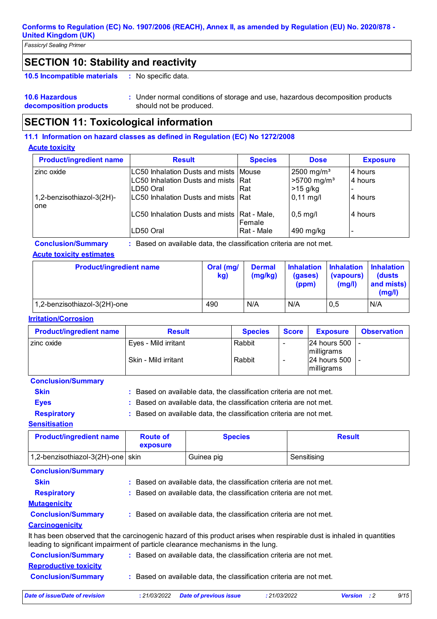*Fassicryl Sealing Primer*

### **SECTION 10: Stability and reactivity**

: No specific data. **10.5 Incompatible materials :**

#### **10.6 Hazardous decomposition products** Under normal conditions of storage and use, hazardous decomposition products **:** should not be produced.

## **SECTION 11: Toxicological information**

### **11.1 Information on hazard classes as defined in Regulation (EC) No 1272/2008**

#### **Acute toxicity**

| <b>Product/ingredient name</b>   | <b>Result</b>                                                                                  | <b>Species</b> | <b>Dose</b>                                                         | <b>Exposure</b>    |
|----------------------------------|------------------------------------------------------------------------------------------------|----------------|---------------------------------------------------------------------|--------------------|
| zinc oxide                       | LC50 Inhalation Dusts and mists   Mouse<br>LC50 Inhalation Dusts and mists   Rat<br>ILD50 Oral | Rat            | $2500$ mg/m <sup>3</sup><br>$>5700$ mg/m <sup>3</sup><br>$>15$ g/kg | 4 hours<br>4 hours |
| 1,2-benzisothiazol-3(2H)-<br>one | LC50 Inhalation Dusts and mists Rat                                                            |                | $0,11 \text{ mg/l}$                                                 | 4 hours            |
|                                  | LC50 Inhalation Dusts and mists   Rat - Male,                                                  | Female         | $0,5$ mg/l                                                          | l 4 hours          |
|                                  | LD50 Oral                                                                                      | Rat - Male     | 490 mg/kg                                                           |                    |

**Conclusion/Summary :** Based on available data, the classification criteria are not met.

### **Acute toxicity estimates**

| <b>Product/ingredient name</b> | Oral (mg/<br>kg) | <b>Dermal</b><br>(mg/kg) | (gases)<br>(ppm) | Inhalation Inhalation Inhalation<br>(vapours)<br>(mg/l) | <b>(dusts)</b><br>and mists)<br>(mg/l) |
|--------------------------------|------------------|--------------------------|------------------|---------------------------------------------------------|----------------------------------------|
| 1,2-benzisothiazol-3(2H)-one   | 490              | N/A                      | N/A              | 0,5                                                     | N/A                                    |

### **Irritation/Corrosion**

| <b>Product/ingredient name</b> | <b>Result</b>        | <b>Species</b> | <b>Score</b> | <b>Exposure</b>             | <b>Observation</b> |
|--------------------------------|----------------------|----------------|--------------|-----------------------------|--------------------|
| zinc oxide                     | Eyes - Mild irritant | Rabbit         |              | I24 hours 500<br>milligrams |                    |
|                                | Skin - Mild irritant | Rabbit         |              | 124 hours 500<br>milligrams |                    |

#### **Conclusion/Summary**

| <b>Skin</b>        | : Based on available data, the classification criteria are not met. |
|--------------------|---------------------------------------------------------------------|
| <b>Eves</b>        | : Based on available data, the classification criteria are not met. |
| <b>Respiratory</b> | : Based on available data, the classification criteria are not met. |
| Sensitisation      |                                                                     |

| <b>Product/ingredient name</b>    | <b>Route of</b><br>exposure | <b>Species</b> | <b>Result</b> |
|-----------------------------------|-----------------------------|----------------|---------------|
| 1,2-benzisothiazol-3(2H)-one skin |                             | Guinea pig     | Sensitising   |

| <b>Date of issue/Date of revision</b> | <b>Date of previous issue</b><br>: 21/03/2022                                                                                                                                                             | : 21/03/2022 | <b>Version</b><br>: 2 | 9/15 |
|---------------------------------------|-----------------------------------------------------------------------------------------------------------------------------------------------------------------------------------------------------------|--------------|-----------------------|------|
| <b>Conclusion/Summary</b>             | Based on available data, the classification criteria are not met.                                                                                                                                         |              |                       |      |
| <b>Reproductive toxicity</b>          |                                                                                                                                                                                                           |              |                       |      |
| <b>Conclusion/Summary</b>             | : Based on available data, the classification criteria are not met.                                                                                                                                       |              |                       |      |
|                                       | It has been observed that the carcinogenic hazard of this product arises when respirable dust is inhaled in quantities<br>leading to significant impairment of particle clearance mechanisms in the lung. |              |                       |      |
| <b>Carcinogenicity</b>                |                                                                                                                                                                                                           |              |                       |      |
| <b>Conclusion/Summary</b>             | : Based on available data, the classification criteria are not met.                                                                                                                                       |              |                       |      |
| <b>Mutagenicity</b>                   |                                                                                                                                                                                                           |              |                       |      |
| <b>Respiratory</b>                    | Based on available data, the classification criteria are not met.                                                                                                                                         |              |                       |      |
| <b>Skin</b>                           | Based on available data, the classification criteria are not met.                                                                                                                                         |              |                       |      |
| <b>Conclusion/Summary</b>             |                                                                                                                                                                                                           |              |                       |      |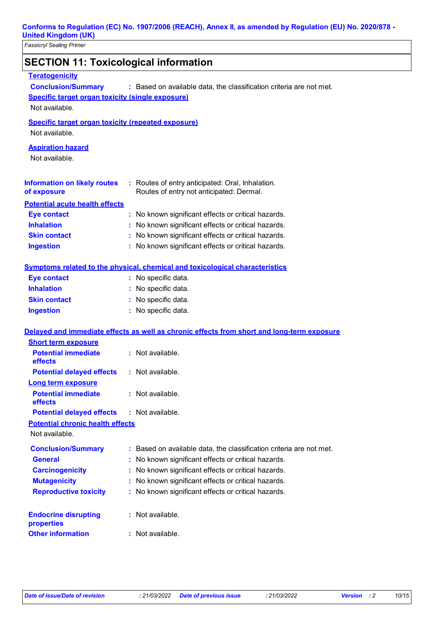| <b>United Kingdom (UK)</b><br><b>Fassicryl Sealing Primer</b>                                                                   |                                                                                              |
|---------------------------------------------------------------------------------------------------------------------------------|----------------------------------------------------------------------------------------------|
| <b>SECTION 11: Toxicological information</b>                                                                                    |                                                                                              |
| <b>Teratogenicity</b><br><b>Conclusion/Summary</b><br><b>Specific target organ toxicity (single exposure)</b><br>Not available. | : Based on available data, the classification criteria are not met.                          |
| <b>Specific target organ toxicity (repeated exposure)</b><br>Not available.                                                     |                                                                                              |
| <b>Aspiration hazard</b><br>Not available.                                                                                      |                                                                                              |
| <b>Information on likely routes</b><br>of exposure                                                                              | : Routes of entry anticipated: Oral, Inhalation.<br>Routes of entry not anticipated: Dermal. |
| <b>Potential acute health effects</b>                                                                                           |                                                                                              |
| <b>Eye contact</b>                                                                                                              | : No known significant effects or critical hazards.                                          |
| <b>Inhalation</b>                                                                                                               | : No known significant effects or critical hazards.                                          |
| <b>Skin contact</b>                                                                                                             | : No known significant effects or critical hazards.                                          |
| <b>Ingestion</b>                                                                                                                | : No known significant effects or critical hazards.                                          |
|                                                                                                                                 | Symptoms related to the physical, chemical and toxicological characteristics                 |
| <b>Eye contact</b>                                                                                                              | : No specific data.                                                                          |
| <b>Inhalation</b>                                                                                                               | : No specific data.                                                                          |
| <b>Skin contact</b>                                                                                                             | : No specific data.                                                                          |
| <b>Ingestion</b>                                                                                                                | : No specific data.                                                                          |
|                                                                                                                                 | Delayed and immediate effects as well as chronic effects from short and long-term exposure   |
| <b>Short term exposure</b>                                                                                                      |                                                                                              |
| <b>Potential immediate</b><br>effects                                                                                           | : Not available.                                                                             |
| <b>Potential delayed effects</b>                                                                                                | : Not available.                                                                             |
| <b>Long term exposure</b><br><b>Potential immediate</b><br>effects                                                              | : Not available.                                                                             |
| <b>Potential delayed effects</b>                                                                                                | : Not available.                                                                             |
| <b>Potential chronic health effects</b><br>Not available.                                                                       |                                                                                              |
| <b>Conclusion/Summary</b>                                                                                                       | : Based on available data, the classification criteria are not met.                          |
| <b>General</b>                                                                                                                  | : No known significant effects or critical hazards.                                          |
| <b>Carcinogenicity</b>                                                                                                          | : No known significant effects or critical hazards.                                          |
| <b>Mutagenicity</b>                                                                                                             | : No known significant effects or critical hazards.                                          |
| <b>Reproductive toxicity</b>                                                                                                    | : No known significant effects or critical hazards.                                          |
| <b>Endocrine disrupting</b><br>properties                                                                                       | : Not available.                                                                             |
| <b>Other information</b>                                                                                                        | : Not available.                                                                             |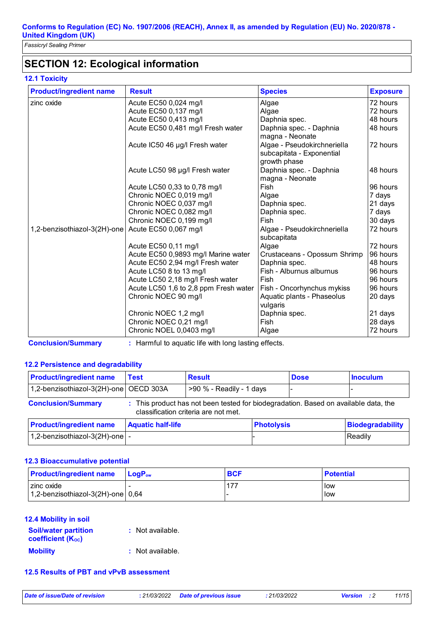### **SECTION 12: Ecological information**

### **12.1 Toxicity**

| <b>Product/ingredient name</b> | <b>Result</b>                         | <b>Species</b>                                                           | <b>Exposure</b> |
|--------------------------------|---------------------------------------|--------------------------------------------------------------------------|-----------------|
| zinc oxide                     | Acute EC50 0,024 mg/l                 | Algae                                                                    | 72 hours        |
|                                | Acute EC50 0,137 mg/l                 | Algae                                                                    | 72 hours        |
|                                | Acute EC50 0,413 mg/l                 | Daphnia spec.                                                            | 48 hours        |
|                                | Acute EC50 0,481 mg/l Fresh water     | Daphnia spec. - Daphnia<br>magna - Neonate                               | 48 hours        |
|                                | Acute IC50 46 µg/l Fresh water        | Algae - Pseudokirchneriella<br>subcapitata - Exponential<br>growth phase | 72 hours        |
|                                | Acute LC50 98 µg/l Fresh water        | Daphnia spec. - Daphnia<br>magna - Neonate                               | 48 hours        |
|                                | Acute LC50 0,33 to 0,78 mg/l          | Fish                                                                     | 96 hours        |
|                                | Chronic NOEC 0,019 mg/l               | Algae                                                                    | 7 days          |
|                                | Chronic NOEC 0,037 mg/l               | Daphnia spec.                                                            | 21 days         |
|                                | Chronic NOEC 0,082 mg/l               | Daphnia spec.                                                            | 7 days          |
|                                | Chronic NOEC 0,199 mg/l               | <b>Fish</b>                                                              | 30 days         |
| 1,2-benzisothiazol-3(2H)-one   | Acute EC50 0,067 mg/l                 | Algae - Pseudokirchneriella<br>subcapitata                               | 72 hours        |
|                                | Acute EC50 0,11 mg/l                  | Algae                                                                    | 72 hours        |
|                                | Acute EC50 0,9893 mg/l Marine water   | Crustaceans - Opossum Shrimp                                             | 96 hours        |
|                                | Acute EC50 2,94 mg/l Fresh water      | Daphnia spec.                                                            | 48 hours        |
|                                | Acute LC50 8 to 13 mg/l               | Fish - Alburnus alburnus                                                 | 96 hours        |
|                                | Acute LC50 2,18 mg/l Fresh water      | Fish                                                                     | 96 hours        |
|                                | Acute LC50 1,6 to 2,8 ppm Fresh water | Fish - Oncorhynchus mykiss                                               | 96 hours        |
|                                | Chronic NOEC 90 mg/l                  | Aquatic plants - Phaseolus                                               | 20 days         |
|                                |                                       | vulgaris                                                                 |                 |
|                                | Chronic NOEC 1,2 mg/l                 | Daphnia spec.                                                            | 21 days         |
|                                | Chronic NOEC 0,21 mg/l                | <b>Fish</b>                                                              | 28 days         |
|                                | Chronic NOEL 0,0403 mg/l              | Algae                                                                    | 72 hours        |

**Conclusion/Summary :** Harmful to aquatic life with long lasting effects.

### **12.2 Persistence and degradability**

| <b>Product/ingredient name</b>                                                                                                                           | <b>Test</b>              | <b>Result</b>              |  | <b>Dose</b>       | <b>Inoculum</b>         |
|----------------------------------------------------------------------------------------------------------------------------------------------------------|--------------------------|----------------------------|--|-------------------|-------------------------|
| 1,2-benzisothiazol-3(2H)-one   OECD 303A                                                                                                                 |                          | $>90$ % - Readily - 1 days |  |                   |                         |
| <b>Conclusion/Summary</b><br>: This product has not been tested for biodegradation. Based on available data, the<br>classification criteria are not met. |                          |                            |  |                   |                         |
| <b>Product/ingredient name</b>                                                                                                                           | <b>Aquatic half-life</b> |                            |  | <b>Photolysis</b> | <b>Biodegradability</b> |
| 1,2-benzisothiazol-3(2H)-one $\vert$ -                                                                                                                   |                          |                            |  |                   | Readily                 |

#### **12.3 Bioaccumulative potential**

| <b>Product/ingredient name</b>                               | <b>I</b> LoqP <sub>ow</sub> | <b>BCF</b> | <b>Potential</b> |
|--------------------------------------------------------------|-----------------------------|------------|------------------|
| zinc oxide<br>$1,2$ -benzisothiazol-3(2H)-one $ 0,64\rangle$ |                             | $-47-$     | llow<br>low      |

### **12.4 Mobility in soil**

| <b>Soil/water partition</b><br><b>coefficient (Koc)</b> | : Not available. |
|---------------------------------------------------------|------------------|
| <b>Mobility</b>                                         | : Not available. |

#### **12.5 Results of PBT and vPvB assessment**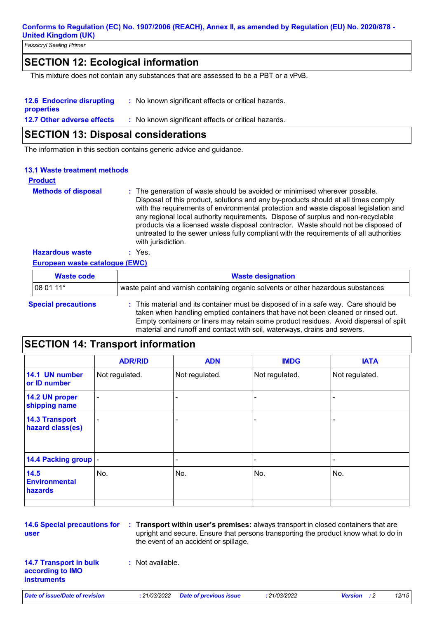*Fassicryl Sealing Primer*

### **SECTION 12: Ecological information**

This mixture does not contain any substances that are assessed to be a PBT or a vPvB.

| <b>12.6 Endocrine disrupting</b>  | : No known significant effects or critical hazards. |
|-----------------------------------|-----------------------------------------------------|
| properties                        |                                                     |
| <b>12.7 Other adverse effects</b> | : No known significant effects or critical hazards. |

### **SECTION 13: Disposal considerations**

The information in this section contains generic advice and guidance.

### **13.1 Waste treatment methods**

#### **Methods of disposal : Product** The generation of waste should be avoided or minimised wherever possible. Disposal of this product, solutions and any by-products should at all times comply with the requirements of environmental protection and waste disposal legislation and any regional local authority requirements. Dispose of surplus and non-recyclable products via a licensed waste disposal contractor. Waste should not be disposed of untreated to the sewer unless fully compliant with the requirements of all authorities with jurisdiction.

### **European waste catalogue (EWC) Hazardous waste :** Yes.

| <b>Waste code</b>          | <b>Waste designation</b>                                                                                                                                                                                                                                                                                                                     |
|----------------------------|----------------------------------------------------------------------------------------------------------------------------------------------------------------------------------------------------------------------------------------------------------------------------------------------------------------------------------------------|
| 08 01 11*                  | waste paint and varnish containing organic solvents or other hazardous substances                                                                                                                                                                                                                                                            |
| <b>Special precautions</b> | : This material and its container must be disposed of in a safe way. Care should be<br>taken when handling emptied containers that have not been cleaned or rinsed out.<br>Empty containers or liners may retain some product residues. Avoid dispersal of spilt<br>material and runoff and contact with soil, waterways, drains and sewers. |

### **SECTION 14: Transport information**

|                                           | <b>ADR/RID</b>           | <b>ADN</b>     | <b>IMDG</b>              | <b>IATA</b>    |
|-------------------------------------------|--------------------------|----------------|--------------------------|----------------|
| 14.1 UN number<br>or ID number            | Not regulated.           | Not regulated. | Not regulated.           | Not regulated. |
| 14.2 UN proper<br>shipping name           | $\blacksquare$           |                |                          |                |
| <b>14.3 Transport</b><br>hazard class(es) | $\overline{\phantom{a}}$ |                | $\overline{\phantom{0}}$ |                |
| 14.4 Packing group  -                     |                          |                |                          |                |
| 14.5<br><b>Environmental</b><br>hazards   | No.                      | No.            | No.                      | No.            |
|                                           |                          |                |                          |                |

**user**

**14.6 Special precautions for Transport within user's premises:** always transport in closed containers that are **:** upright and secure. Ensure that persons transporting the product know what to do in the event of an accident or spillage.

**14.7 Transport in bulk according to IMO instruments**

**:** Not available.

*Date of issue/Date of revision* **:** *21/03/2022 Date of previous issue : 21/03/2022 Version : 2 12/15*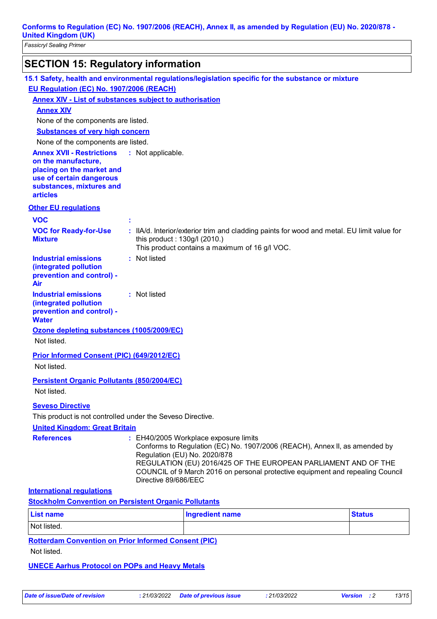| <b>SECTION 15: Regulatory information</b>                                                                                                                       |                              |                                                                                                                                                                                                                                                                                                         |               |
|-----------------------------------------------------------------------------------------------------------------------------------------------------------------|------------------------------|---------------------------------------------------------------------------------------------------------------------------------------------------------------------------------------------------------------------------------------------------------------------------------------------------------|---------------|
| 15.1 Safety, health and environmental regulations/legislation specific for the substance or mixture                                                             |                              |                                                                                                                                                                                                                                                                                                         |               |
| EU Regulation (EC) No. 1907/2006 (REACH)                                                                                                                        |                              |                                                                                                                                                                                                                                                                                                         |               |
| <b>Annex XIV - List of substances subject to authorisation</b>                                                                                                  |                              |                                                                                                                                                                                                                                                                                                         |               |
| <b>Annex XIV</b>                                                                                                                                                |                              |                                                                                                                                                                                                                                                                                                         |               |
| None of the components are listed.                                                                                                                              |                              |                                                                                                                                                                                                                                                                                                         |               |
| <b>Substances of very high concern</b>                                                                                                                          |                              |                                                                                                                                                                                                                                                                                                         |               |
| None of the components are listed.                                                                                                                              |                              |                                                                                                                                                                                                                                                                                                         |               |
| <b>Annex XVII - Restrictions</b><br>on the manufacture,<br>placing on the market and<br>use of certain dangerous<br>substances, mixtures and<br><b>articles</b> | : Not applicable.            |                                                                                                                                                                                                                                                                                                         |               |
| <b>Other EU requlations</b>                                                                                                                                     |                              |                                                                                                                                                                                                                                                                                                         |               |
| <b>VOC</b>                                                                                                                                                      |                              |                                                                                                                                                                                                                                                                                                         |               |
| <b>VOC for Ready-for-Use</b><br><b>Mixture</b>                                                                                                                  | this product: 130g/l (2010.) | : IIA/d. Interior/exterior trim and cladding paints for wood and metal. EU limit value for<br>This product contains a maximum of 16 g/l VOC.                                                                                                                                                            |               |
| <b>Industrial emissions</b><br>(integrated pollution<br>prevention and control) -<br>Air                                                                        | : Not listed                 |                                                                                                                                                                                                                                                                                                         |               |
| <b>Industrial emissions</b><br>(integrated pollution<br>prevention and control) -<br><b>Water</b>                                                               | : Not listed                 |                                                                                                                                                                                                                                                                                                         |               |
| Ozone depleting substances (1005/2009/EC)<br>Not listed.                                                                                                        |                              |                                                                                                                                                                                                                                                                                                         |               |
| Prior Informed Consent (PIC) (649/2012/EC)                                                                                                                      |                              |                                                                                                                                                                                                                                                                                                         |               |
| Not listed.                                                                                                                                                     |                              |                                                                                                                                                                                                                                                                                                         |               |
| <b>Persistent Organic Pollutants (850/2004/EC)</b><br>Not listed.                                                                                               |                              |                                                                                                                                                                                                                                                                                                         |               |
| <b>Seveso Directive</b><br>This product is not controlled under the Seveso Directive.<br><b>United Kingdom: Great Britain</b>                                   |                              |                                                                                                                                                                                                                                                                                                         |               |
| <b>References</b>                                                                                                                                               | Directive 89/686/EEC         | : EH40/2005 Workplace exposure limits<br>Conforms to Regulation (EC) No. 1907/2006 (REACH), Annex II, as amended by<br>Regulation (EU) No. 2020/878<br>REGULATION (EU) 2016/425 OF THE EUROPEAN PARLIAMENT AND OF THE<br>COUNCIL of 9 March 2016 on personal protective equipment and repealing Council |               |
| <b>International regulations</b>                                                                                                                                |                              |                                                                                                                                                                                                                                                                                                         |               |
| <b>Stockholm Convention on Persistent Organic Pollutants</b>                                                                                                    |                              |                                                                                                                                                                                                                                                                                                         |               |
| <b>List name</b>                                                                                                                                                |                              | <b>Ingredient name</b>                                                                                                                                                                                                                                                                                  | <b>Status</b> |
| Not listed.                                                                                                                                                     |                              |                                                                                                                                                                                                                                                                                                         |               |
| <b>Rotterdam Convention on Prior Informed Consent (PIC)</b><br>Not listed.                                                                                      |                              |                                                                                                                                                                                                                                                                                                         |               |

#### **UNECE Aarhus Protocol on POPs and Heavy Metals**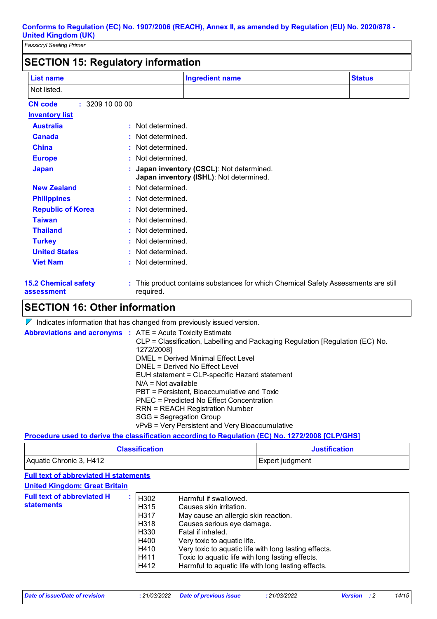| <b>List name</b>                          |                       | <b>Ingredient name</b>                                                             | <b>Status</b> |
|-------------------------------------------|-----------------------|------------------------------------------------------------------------------------|---------------|
| Not listed.                               |                       |                                                                                    |               |
| : 3209100000<br><b>CN</b> code            |                       |                                                                                    |               |
| <b>Inventory list</b>                     |                       |                                                                                    |               |
| <b>Australia</b>                          | Not determined.<br>t. |                                                                                    |               |
| <b>Canada</b>                             | Not determined.       |                                                                                    |               |
| <b>China</b>                              | Not determined.       |                                                                                    |               |
| <b>Europe</b>                             | Not determined.       |                                                                                    |               |
| <b>Japan</b>                              |                       | Japan inventory (CSCL): Not determined.<br>Japan inventory (ISHL): Not determined. |               |
| <b>New Zealand</b>                        | : Not determined.     |                                                                                    |               |
| <b>Philippines</b>                        | Not determined.       |                                                                                    |               |
| <b>Republic of Korea</b>                  | : Not determined.     |                                                                                    |               |
| <b>Taiwan</b>                             | Not determined.       |                                                                                    |               |
| <b>Thailand</b>                           | Not determined.       |                                                                                    |               |
| <b>Turkey</b>                             | Not determined.       |                                                                                    |               |
| <b>United States</b>                      | Not determined.       |                                                                                    |               |
| <b>Viet Nam</b>                           | Not determined.       |                                                                                    |               |
| <b>15.2 Chemical safety</b><br>assessment | required.             | This product contains substances for which Chemical Safety Assessments are still   |               |

### **SECTION 16: Other information**

 $\nabla$  Indicates information that has changed from previously issued version.

| <b>Abbreviations and acronyms : ATE = Acute Toxicity Estimate</b>             |
|-------------------------------------------------------------------------------|
| CLP = Classification, Labelling and Packaging Regulation [Regulation (EC) No. |
| 1272/2008]                                                                    |
| DMEL = Derived Minimal Effect Level                                           |
| DNEL = Derived No Effect Level                                                |
| EUH statement = CLP-specific Hazard statement                                 |
| $N/A = Not available$                                                         |
| PBT = Persistent, Bioaccumulative and Toxic                                   |
| PNEC = Predicted No Effect Concentration                                      |
| <b>RRN = REACH Registration Number</b>                                        |
| SGG = Segregation Group                                                       |
| vPvB = Very Persistent and Very Bioaccumulative                               |
|                                                                               |

#### **Procedure used to derive the classification according to Regulation (EC) No. 1272/2008 [CLP/GHS]**

| <b>Classification</b>   | <b>Justification</b> |  |
|-------------------------|----------------------|--|
| Aquatic Chronic 3, H412 | Expert judgment      |  |

### **Full text of abbreviated H statements**

| <b>United Kingdom: Great Britain</b>                                                                                                       |                                                                                                                                                                                                                                                                                                                                               |
|--------------------------------------------------------------------------------------------------------------------------------------------|-----------------------------------------------------------------------------------------------------------------------------------------------------------------------------------------------------------------------------------------------------------------------------------------------------------------------------------------------|
| <b>Full text of abbreviated H</b><br>H302<br><b>statements</b><br>H <sub>315</sub><br>H317<br>H318<br>H330<br>H400<br>H410<br>H411<br>H412 | Harmful if swallowed.<br>Causes skin irritation.<br>May cause an allergic skin reaction.<br>Causes serious eye damage.<br>Fatal if inhaled.<br>Very toxic to aquatic life.<br>Very toxic to aquatic life with long lasting effects.<br>Toxic to aquatic life with long lasting effects.<br>Harmful to aquatic life with long lasting effects. |